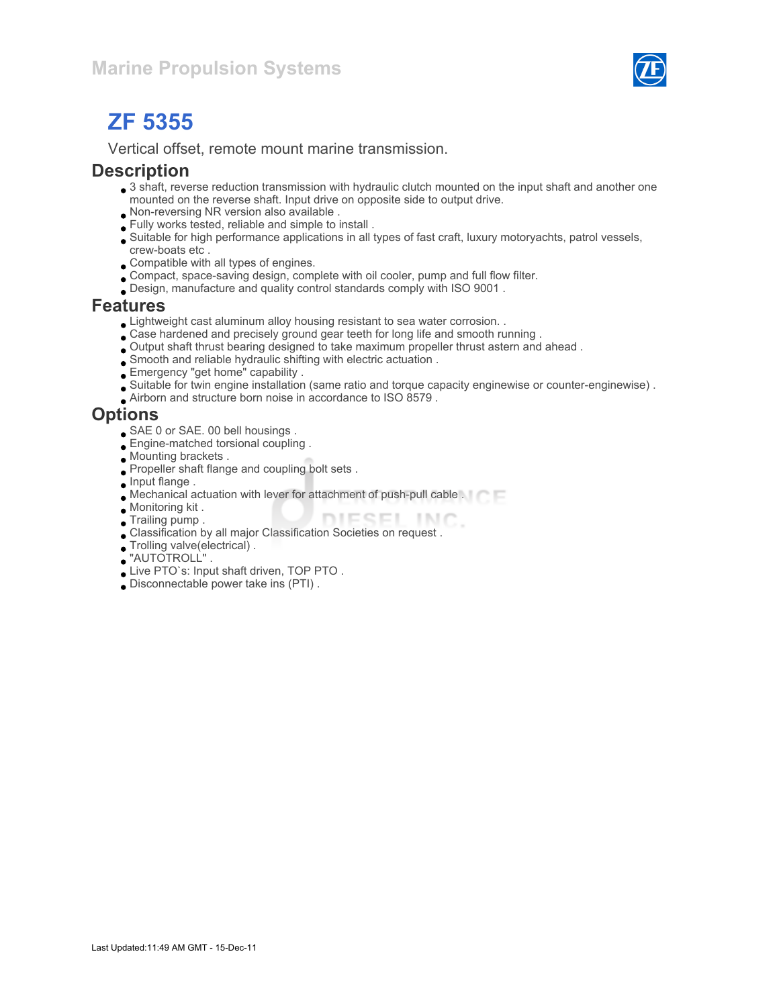

# ZF 5355

Vertical offset, remote mount marine transmission.

#### **Description**

- 3 shaft, reverse reduction transmission with hydraulic clutch mounted on the input shaft and another one mounted on the reverse shaft. Input drive on opposite side to output drive.
- Non-reversing NR version also available .
- Fully works tested, reliable and simple to install .
- Suitable for high performance applications in all types of fast craft, luxury motoryachts, patrol vessels, crew-boats etc .
- Compatible with all types of engines.
- Compact, space-saving design, complete with oil cooler, pump and full flow filter.
- Design, manufacture and quality control standards comply with ISO 9001 .

#### Features

- Lightweight cast aluminum alloy housing resistant to sea water corrosion. .
- Case hardened and precisely ground gear teeth for long life and smooth running .
- Output shaft thrust bearing designed to take maximum propeller thrust astern and ahead .
- Smooth and reliable hydraulic shifting with electric actuation .
- Emergency "get home" capability .
- Suitable for twin engine installation (same ratio and torque capacity enginewise or counter-enginewise) .
- Airborn and structure born noise in accordance to ISO 8579 .

#### **Options**

- SAE 0 or SAE. 00 bell housings .
- **Engine-matched torsional coupling**.
- Mounting brackets .
- Propeller shaft flange and coupling bolt sets .
- **Input flange.**
- Mechanical actuation with lever for attachment of push-pull cable .
- Monitoring kit .
- DIESEL INC. **Trailing pump.**
- Classification by all major Classification Societies on request .
- Trolling valve(electrical) .
- "AUTOTROLL" .
- Live PTO`s: Input shaft driven, TOP PTO .
- Disconnectable power take ins (PTI) .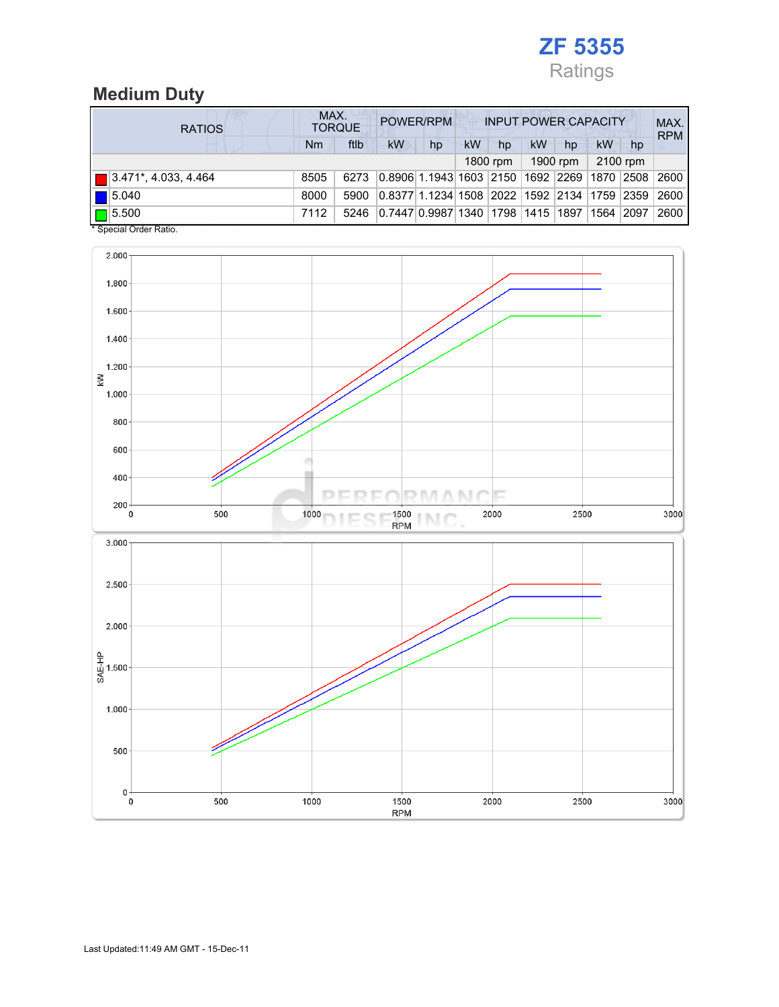

## Medium Duty

| <b>RATIOS</b>                        | MAX.<br>POWER/RPM<br><b>INPUT POWER CAPACITY</b><br><b>TORQUE</b> |      |                                                  |    |    |          |    |             |           |      | MAX.<br><b>RPM</b> |
|--------------------------------------|-------------------------------------------------------------------|------|--------------------------------------------------|----|----|----------|----|-------------|-----------|------|--------------------|
|                                      | Nm                                                                | ftlb | <b>kW</b>                                        | hp | kW | hp       | kW | hp          | kW        | hp   |                    |
|                                      |                                                                   |      |                                                  |    |    | 1800 rpm |    | 1900 rpm    | 2100 rpm  |      |                    |
| $\boxed{ }$ 3.471*, 4.033, 4.464     | 8505                                                              | 6273 | 0.8906   1.1943   1603   2150                    |    |    |          |    | 1692   2269 | 1870 2508 |      | 2600               |
| $\blacksquare$ 5.040                 | 8000                                                              | 5900 | 0.8377 1.1234 1508  2022  1592  2134  1759  2359 |    |    |          |    |             |           |      | 2600               |
| $\Box$ 5.500<br>$\ddotsc$ $\dddotsc$ | 7112                                                              | 5246 | 0.7447 0.9987 1340 1798 1415 1897                |    |    |          |    |             | 1564      | 2097 | 2600               |

\* Special Order Ratio.

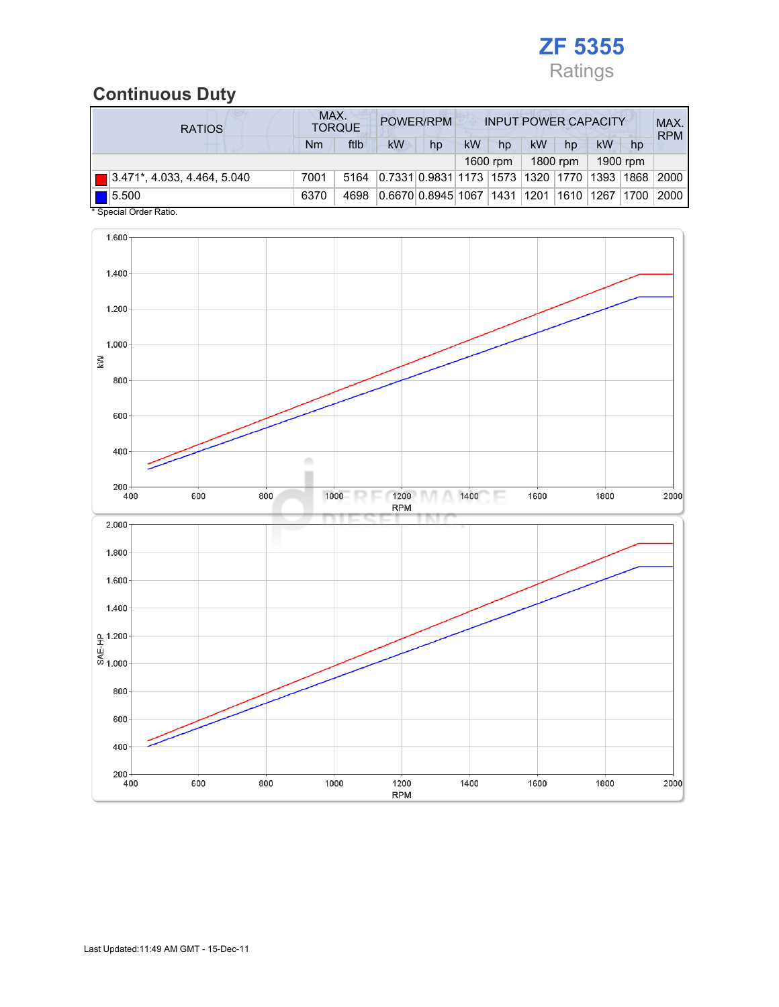

### Continuous Duty

| <b>RATIOS</b>                                                      | MAX.<br><b>TORQUE</b> |      |                                             | POWER/RPM<br><b>INPUT POWER CAPACITY</b> |    |    |                        |    |    | MAX.<br><b>RPM</b> |      |
|--------------------------------------------------------------------|-----------------------|------|---------------------------------------------|------------------------------------------|----|----|------------------------|----|----|--------------------|------|
|                                                                    | Nm                    | ftlb | kW                                          | hp                                       | kW | hp | kW                     | hp | kW | hp                 |      |
| 1900 rpm<br>1800 rpm<br>1600 rpm                                   |                       |      |                                             |                                          |    |    |                        |    |    |                    |      |
| $\boxed{ }$ 3.471*, 4.033, 4.464, 5.040                            | 7001                  | 5164 | 0.7331 0.9831 1173 1573 1320 1770 1393 1868 |                                          |    |    |                        |    |    |                    | 2000 |
| 5.500<br>$\mathbf{A} \cap \mathbf{A}$ $\mathbf{A} \cap \mathbf{A}$ | 6370                  | 4698 | 0.6670 0.8945 1067                          |                                          |    |    | 1431  1201  1610  1267 |    |    | 1700               | 2000 |

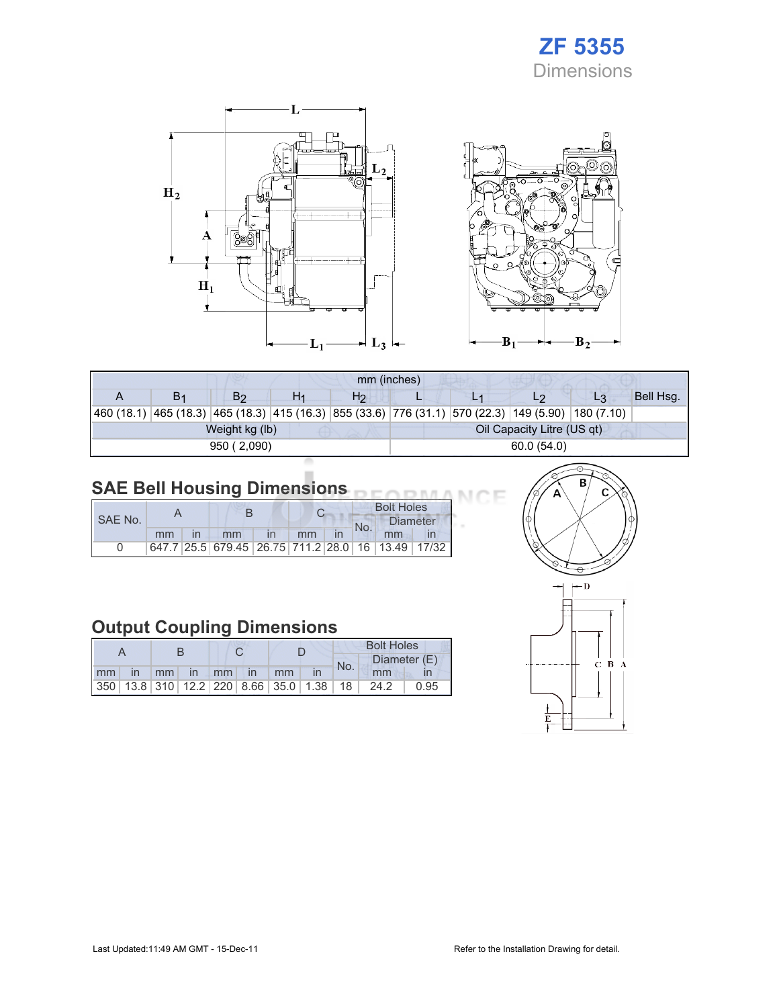## ZF 5355 Dimensions

Œ



| mm (inches) |    |                |    |                |                            |  |                                                                                                            |    |           |  |  |
|-------------|----|----------------|----|----------------|----------------------------|--|------------------------------------------------------------------------------------------------------------|----|-----------|--|--|
|             | В1 | B2             | H1 | H <sub>2</sub> |                            |  | L2                                                                                                         | L3 | Bell Hsg. |  |  |
|             |    |                |    |                |                            |  | 460 (18.1)  465 (18.3)  465 (18.3)  415 (16.3)  855 (33.6)  776 (31.1)  570 (22.3)  149 (5.90)  180 (7.10) |    |           |  |  |
|             |    | Weight kg (lb) |    |                | Oil Capacity Litre (US qt) |  |                                                                                                            |    |           |  |  |
|             |    | 950 (2,090)    |    |                | 60.0 (54.0)                |  |                                                                                                            |    |           |  |  |

#### SAE Bell Housing Dimensions

|         |    |  |                                                   |  |    |  | <b>Bolt Holes</b> |                 |  |  |
|---------|----|--|---------------------------------------------------|--|----|--|-------------------|-----------------|--|--|
| SAE No. |    |  |                                                   |  |    |  | No.               | <b>Diameter</b> |  |  |
|         | mm |  | mm                                                |  | mm |  |                   | mm              |  |  |
|         |    |  | 647.7 25.5 679.45 26.75 711.2 28.0 16 13.49 17/32 |  |    |  |                   |                 |  |  |

### Output Coupling Dimensions

|    |              |               |          |  |               | <b>Bolt Holes</b> |                                                         |     |      |              |
|----|--------------|---------------|----------|--|---------------|-------------------|---------------------------------------------------------|-----|------|--------------|
|    |              |               |          |  |               |                   |                                                         | No. |      | Diameter (E) |
| mm | $\mathsf{I}$ | $\mathsf{mm}$ | $\ln$ mm |  | $\mathsf{In}$ | mm                |                                                         |     | mm   |              |
|    |              |               |          |  |               |                   | 350   13.8   310   12.2   220   8.66   35.0   1.38   18 |     | 24.2 | 0.95         |